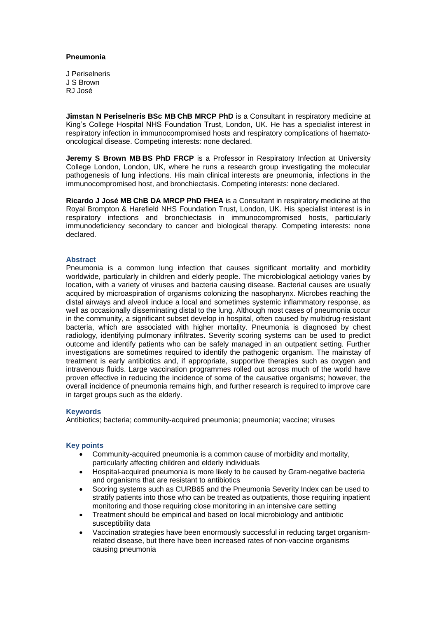## **Pneumonia**

J Periselneris J S Brown RJ José

**Jimstan N Periselneris BSc MB ChB MRCP PhD** is a Consultant in respiratory medicine at King's College Hospital NHS Foundation Trust, London, UK. He has a specialist interest in respiratory infection in immunocompromised hosts and respiratory complications of haematooncological disease. Competing interests: none declared.

**Jeremy S Brown MB BS PhD FRCP** is a Professor in Respiratory Infection at University College London, London, UK, where he runs a research group investigating the molecular pathogenesis of lung infections. His main clinical interests are pneumonia, infections in the immunocompromised host, and bronchiectasis. Competing interests: none declared.

**Ricardo J José MB ChB DA MRCP PhD FHEA** is a Consultant in respiratory medicine at the Royal Brompton & Harefield NHS Foundation Trust, London, UK. His specialist interest is in respiratory infections and bronchiectasis in immunocompromised hosts, particularly immunodeficiency secondary to cancer and biological therapy. Competing interests: none declared.

## **Abstract**

Pneumonia is a common lung infection that causes significant mortality and morbidity worldwide, particularly in children and elderly people. The microbiological aetiology varies by location, with a variety of viruses and bacteria causing disease. Bacterial causes are usually acquired by microaspiration of organisms colonizing the nasopharynx. Microbes reaching the distal airways and alveoli induce a local and sometimes systemic inflammatory response, as well as occasionally disseminating distal to the lung. Although most cases of pneumonia occur in the community, a significant subset develop in hospital, often caused by multidrug-resistant bacteria, which are associated with higher mortality. Pneumonia is diagnosed by chest radiology, identifying pulmonary infiltrates. Severity scoring systems can be used to predict outcome and identify patients who can be safely managed in an outpatient setting. Further investigations are sometimes required to identify the pathogenic organism. The mainstay of treatment is early antibiotics and, if appropriate, supportive therapies such as oxygen and intravenous fluids. Large vaccination programmes rolled out across much of the world have proven effective in reducing the incidence of some of the causative organisms; however, the overall incidence of pneumonia remains high, and further research is required to improve care in target groups such as the elderly.

## **Keywords**

Antibiotics; bacteria; community-acquired pneumonia; pneumonia; vaccine; viruses

## **Key points**

- Community-acquired pneumonia is a common cause of morbidity and mortality, particularly affecting children and elderly individuals
- Hospital-acquired pneumonia is more likely to be caused by Gram-negative bacteria and organisms that are resistant to antibiotics
- Scoring systems such as CURB65 and the Pneumonia Severity Index can be used to stratify patients into those who can be treated as outpatients, those requiring inpatient monitoring and those requiring close monitoring in an intensive care setting
- Treatment should be empirical and based on local microbiology and antibiotic susceptibility data
- Vaccination strategies have been enormously successful in reducing target organismrelated disease, but there have been increased rates of non-vaccine organisms causing pneumonia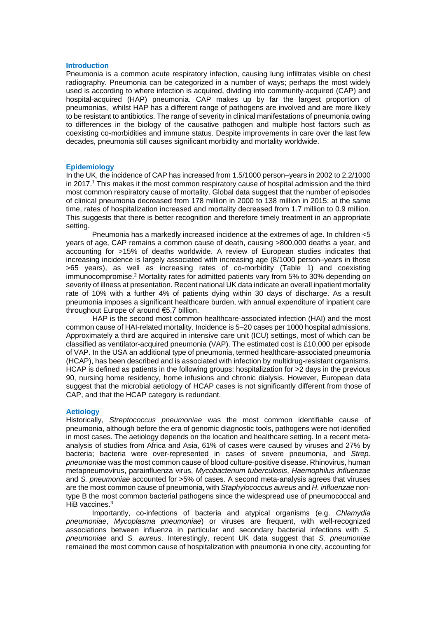### **Introduction**

Pneumonia is a common acute respiratory infection, causing lung infiltrates visible on chest radiography. Pneumonia can be categorized in a number of ways; perhaps the most widely used is according to where infection is acquired, dividing into community-acquired (CAP) and hospital-acquired (HAP) pneumonia. CAP makes up by far the largest proportion of pneumonias, whilst HAP has a different range of pathogens are involved and are more likely to be resistant to antibiotics. The range of severity in clinical manifestations of pneumonia owing to differences in the biology of the causative pathogen and multiple host factors such as coexisting co-morbidities and immune status. Despite improvements in care over the last few decades, pneumonia still causes significant morbidity and mortality worldwide.

### **Epidemiology**

In the UK, the incidence of CAP has increased from 1.5/1000 person–years in 2002 to 2.2/1000 in 2017. <sup>1</sup> This makes it the most common respiratory cause of hospital admission and the third most common respiratory cause of mortality. Global data suggest that the number of episodes of clinical pneumonia decreased from 178 million in 2000 to 138 million in 2015; at the same time, rates of hospitalization increased and mortality decreased from 1.7 million to 0.9 million. This suggests that there is better recognition and therefore timely treatment in an appropriate setting.

Pneumonia has a markedly increased incidence at the extremes of age. In children <5 years of age, CAP remains a common cause of death, causing >800,000 deaths a year, and accounting for >15% of deaths worldwide. A review of European studies indicates that increasing incidence is largely associated with increasing age (8/1000 person–years in those >65 years), as well as increasing rates of co-morbidity (Table 1) and coexisting immunocompromise. <sup>2</sup> Mortality rates for admitted patients vary from 5% to 30% depending on severity of illness at presentation. Recent national UK data indicate an overall inpatient mortality rate of 10% with a further 4% of patients dying within 30 days of discharge. As a result pneumonia imposes a significant healthcare burden, with annual expenditure of inpatient care throughout Europe of around €5.7 billion.

HAP is the second most common healthcare-associated infection (HAI) and the most common cause of HAI-related mortality. Incidence is 5–20 cases per 1000 hospital admissions. Approximately a third are acquired in intensive care unit (ICU) settings, most of which can be classified as ventilator-acquired pneumonia (VAP). The estimated cost is £10,000 per episode of VAP. In the USA an additional type of pneumonia, termed healthcare-associated pneumonia (HCAP), has been described and is associated with infection by multidrug-resistant organisms. HCAP is defined as patients in the following groups: hospitalization for >2 days in the previous 90, nursing home residency, home infusions and chronic dialysis. However, European data suggest that the microbial aetiology of HCAP cases is not significantly different from those of CAP, and that the HCAP category is redundant.

### **Aetiology**

Historically, *Streptococcus pneumoniae* was the most common identifiable cause of pneumonia, although before the era of genomic diagnostic tools, pathogens were not identified in most cases. The aetiology depends on the location and healthcare setting. In a recent metaanalysis of studies from Africa and Asia, 61% of cases were caused by viruses and 27% by bacteria; bacteria were over-represented in cases of severe pneumonia, and *Strep. pneumoniae* was the most common cause of blood culture-positive disease. Rhinovirus, human metapneumovirus, parainfluenza virus, *Mycobacterium tuberculosis*, *Haemophilus influenzae* and *S. pneumoniae* accounted for >5% of cases. A second meta-analysis agrees that viruses are the most common cause of pneumonia, with *Staphylococcus aureus* and *H. influenzae* nontype B the most common bacterial pathogens since the widespread use of pneumococcal and HiB vaccines.<sup>3</sup>

Importantly, co-infections of bacteria and atypical organisms (e.g. *Chlamydia pneumoniae*, *Mycoplasma pneumoniae*) or viruses are frequent, with well-recognized associations between influenza in particular and secondary bacterial infections with *S. pneumoniae* and *S. aureus*. Interestingly, recent UK data suggest that *S. pneumoniae* remained the most common cause of hospitalization with pneumonia in one city, accounting for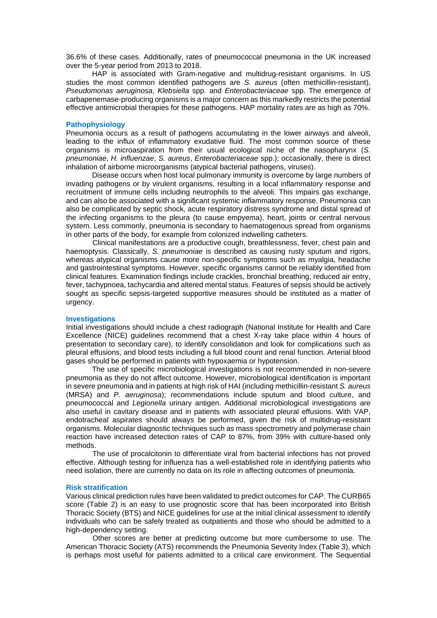36.6% of these cases. Additionally, rates of pneumococcal pneumonia in the UK increased over the 5-year period from 2013 to 2018.

HAP is associated with Gram-negative and multidrug-resistant organisms. In US studies the most common identified pathogens are *S. aureus* (often methicillin-resistant), *Pseudomonas aeruginosa*, *Klebsiella* spp. and *Enterobacteriaceae* spp. The emergence of carbapenemase-producing organisms is a major concern as this markedly restricts the potential effective antimicrobial therapies for these pathogens. HAP mortality rates are as high as 70%.

## **Pathophysiology**

Pneumonia occurs as a result of pathogens accumulating in the lower airways and alveoli, leading to the influx of inflammatory exudative fluid. The most common source of these organisms is microaspiration from their usual ecological niche of the nasopharynx (*S. pneumoniae*, *H. influenzae*, *S. aureus*, *Enterobacteriaceae* spp.); occasionally, there is direct inhalation of airborne microorganisms (atypical bacterial pathogens, viruses).

Disease occurs when host local pulmonary immunity is overcome by large numbers of invading pathogens or by virulent organisms, resulting in a local inflammatory response and recruitment of immune cells including neutrophils to the alveoli. This impairs gas exchange, and can also be associated with a significant systemic inflammatory response. Pneumonia can also be complicated by septic shock, acute respiratory distress syndrome and distal spread of the infecting organisms to the pleura (to cause empyema), heart, joints or central nervous system. Less commonly, pneumonia is secondary to haematogenous spread from organisms in other parts of the body, for example from colonized indwelling catheters.

Clinical manifestations are a productive cough, breathlessness, fever, chest pain and haemoptysis. Classically, *S. pneumoniae* is described as causing rusty sputum and rigors, whereas atypical organisms cause more non-specific symptoms such as myalgia, headache and gastrointestinal symptoms. However, specific organisms cannot be reliably identified from clinical features. Examination findings include crackles, bronchial breathing, reduced air entry, fever, tachypnoea, tachycardia and altered mental status. Features of sepsis should be actively sought as specific sepsis-targeted supportive measures should be instituted as a matter of urgency.

### **Investigations**

Initial investigations should include a chest radiograph (National Institute for Health and Care Excellence (NICE) guidelines recommend that a chest X-ray take place within 4 hours of presentation to secondary care), to identify consolidation and look for complications such as pleural effusions, and blood tests including a full blood count and renal function. Arterial blood gases should be performed in patients with hypoxaemia or hypotension.

The use of specific microbiological investigations is not recommended in non-severe pneumonia as they do not affect outcome. However, microbiological identification is important in severe pneumonia and in patients at high risk of HAI (including methicillin-resistant *S. aureus* (MRSA) and *P. aeruginosa*); recommendations include sputum and blood culture, and pneumococcal and *Legionella* urinary antigen. Additional microbiological investigations are also useful in cavitary disease and in patients with associated pleural effusions. With VAP, endotracheal aspirates should always be performed, given the risk of multidrug-resistant organisms. Molecular diagnostic techniques such as mass spectrometry and polymerase chain reaction have increased detection rates of CAP to 87%, from 39% with culture-based only methods.

The use of procalcitonin to differentiate viral from bacterial infections has not proved effective. Although testing for influenza has a well-established role in identifying patients who need isolation, there are currently no data on its role in affecting outcomes of pneumonia.

#### **Risk stratification**

Various clinical prediction rules have been validated to predict outcomes for CAP. The CURB65 score (Table 2) is an easy to use prognostic score that has been incorporated into British Thoracic Society (BTS) and NICE guidelines for use at the initial clinical assessment to identify individuals who can be safely treated as outpatients and those who should be admitted to a high-dependency setting.

Other scores are better at predicting outcome but more cumbersome to use. The American Thoracic Society (ATS) recommends the Pneumonia Severity Index (Table 3), which is perhaps most useful for patients admitted to a critical care environment. The Sequential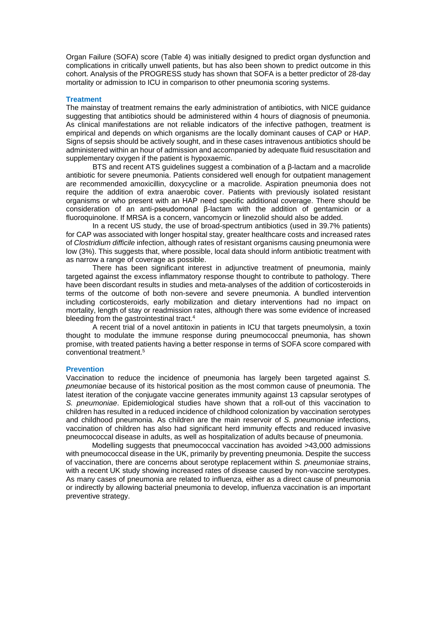Organ Failure (SOFA) score (Table 4) was initially designed to predict organ dysfunction and complications in critically unwell patients, but has also been shown to predict outcome in this cohort. Analysis of the PROGRESS study has shown that SOFA is a better predictor of 28-day mortality or admission to ICU in comparison to other pneumonia scoring systems.

### **Treatment**

The mainstay of treatment remains the early administration of antibiotics, with NICE guidance suggesting that antibiotics should be administered within 4 hours of diagnosis of pneumonia. As clinical manifestations are not reliable indicators of the infective pathogen, treatment is empirical and depends on which organisms are the locally dominant causes of CAP or HAP. Signs of sepsis should be actively sought, and in these cases intravenous antibiotics should be administered within an hour of admission and accompanied by adequate fluid resuscitation and supplementary oxygen if the patient is hypoxaemic.

BTS and recent ATS guidelines suggest a combination of a β-lactam and a macrolide antibiotic for severe pneumonia. Patients considered well enough for outpatient management are recommended amoxicillin, doxycycline or a macrolide. Aspiration pneumonia does not require the addition of extra anaerobic cover. Patients with previously isolated resistant organisms or who present with an HAP need specific additional coverage. There should be consideration of an anti-pseudomonal β-lactam with the addition of gentamicin or a fluoroquinolone. If MRSA is a concern, vancomycin or linezolid should also be added.

In a recent US study, the use of broad-spectrum antibiotics (used in 39.7% patients) for CAP was associated with longer hospital stay, greater healthcare costs and increased rates of *Clostridium difficile* infection, although rates of resistant organisms causing pneumonia were low (3%). This suggests that, where possible, local data should inform antibiotic treatment with as narrow a range of coverage as possible.

There has been significant interest in adjunctive treatment of pneumonia, mainly targeted against the excess inflammatory response thought to contribute to pathology. There have been discordant results in studies and meta-analyses of the addition of corticosteroids in terms of the outcome of both non-severe and severe pneumonia. A bundled intervention including corticosteroids, early mobilization and dietary interventions had no impact on mortality, length of stay or readmission rates, although there was some evidence of increased bleeding from the gastrointestinal tract.<sup>4</sup>

A recent trial of a novel antitoxin in patients in ICU that targets pneumolysin, a toxin thought to modulate the immune response during pneumococcal pneumonia, has shown promise, with treated patients having a better response in terms of SOFA score compared with conventional treatment. 5

### **Prevention**

Vaccination to reduce the incidence of pneumonia has largely been targeted against *S. pneumoniae* because of its historical position as the most common cause of pneumonia. The latest iteration of the conjugate vaccine generates immunity against 13 capsular serotypes of *S. pneumoniae*. Epidemiological studies have shown that a roll-out of this vaccination to children has resulted in a reduced incidence of childhood colonization by vaccination serotypes and childhood pneumonia. As children are the main reservoir of *S. pneumoniae* infections, vaccination of children has also had significant herd immunity effects and reduced invasive pneumococcal disease in adults, as well as hospitalization of adults because of pneumonia.

Modelling suggests that pneumococcal vaccination has avoided >43,000 admissions with pneumococcal disease in the UK, primarily by preventing pneumonia. Despite the success of vaccination, there are concerns about serotype replacement within *S. pneumoniae* strains, with a recent UK study showing increased rates of disease caused by non-vaccine serotypes. As many cases of pneumonia are related to influenza, either as a direct cause of pneumonia or indirectly by allowing bacterial pneumonia to develop, influenza vaccination is an important preventive strategy.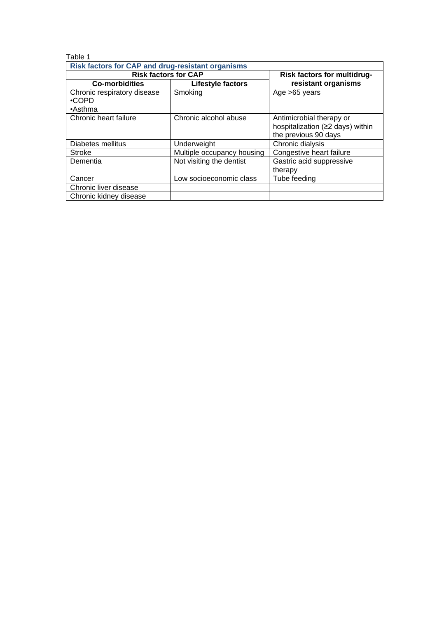| Table 1                                                |                             |                                                                                      |  |
|--------------------------------------------------------|-----------------------------|--------------------------------------------------------------------------------------|--|
| Risk factors for CAP and drug-resistant organisms      |                             |                                                                                      |  |
| <b>Risk factors for CAP</b>                            | Risk factors for multidrug- |                                                                                      |  |
| <b>Co-morbidities</b>                                  | Lifestyle factors           | resistant organisms                                                                  |  |
| Chronic respiratory disease<br>$\cdot$ COPD<br>•Asthma | Smoking                     | Age >65 years                                                                        |  |
| Chronic heart failure                                  | Chronic alcohol abuse       | Antimicrobial therapy or<br>hospitalization (≥2 days) within<br>the previous 90 days |  |
| Diabetes mellitus                                      | Underweight                 | Chronic dialysis                                                                     |  |
| Stroke                                                 | Multiple occupancy housing  | Congestive heart failure                                                             |  |
| Dementia                                               | Not visiting the dentist    | Gastric acid suppressive<br>therapy                                                  |  |
| Cancer                                                 | Low socioeconomic class     | Tube feeding                                                                         |  |
| Chronic liver disease                                  |                             |                                                                                      |  |
| Chronic kidney disease                                 |                             |                                                                                      |  |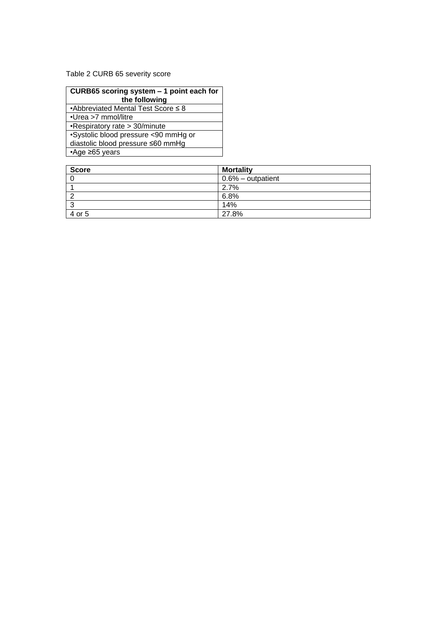# Table 2 CURB 65 severity score

| <b>Score</b> | <b>Mortality</b>     |
|--------------|----------------------|
|              | $0.6\%$ – outpatient |
|              | 2.7%                 |
|              | 6.8%                 |
|              | 14%                  |
| 4 or 5       | 27.8%                |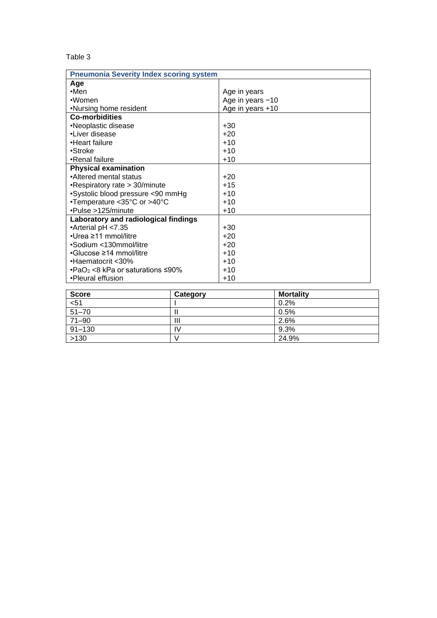# Table 3

| <b>Pneumonia Severity Index scoring system</b> |                  |  |  |  |
|------------------------------------------------|------------------|--|--|--|
| Age                                            |                  |  |  |  |
| •Men                                           | Age in years     |  |  |  |
| •Women                                         | Age in years -10 |  |  |  |
| •Nursing home resident                         | Age in years +10 |  |  |  |
| <b>Co-morbidities</b>                          |                  |  |  |  |
| •Neoplastic disease                            | $+30$            |  |  |  |
| •Liver disease                                 | $+20$            |  |  |  |
| •Heart failure                                 | $+10$            |  |  |  |
| •Stroke                                        | $+10$            |  |  |  |
| •Renal failure                                 | $+10$            |  |  |  |
| <b>Physical examination</b>                    |                  |  |  |  |
| •Altered mental status                         | $+20$            |  |  |  |
| •Respiratory rate > 30/minute                  | $+15$            |  |  |  |
| •Systolic blood pressure <90 mmHg              | $+10$            |  |  |  |
| •Temperature < 35°C or > 40°C                  | $+10$            |  |  |  |
| •Pulse >125/minute                             | $+10$            |  |  |  |
| Laboratory and radiological findings           |                  |  |  |  |
| •Arterial pH <7.35                             | $+30$            |  |  |  |
| $\cdot$ Urea $\geq$ 11 mmol/litre              | $+20$            |  |  |  |
| •Sodium <130mmol/litre                         | $+20$            |  |  |  |
| •Glucose ≥14 mmol/litre                        | $+10$            |  |  |  |
| $\cdot$ Haematocrit <30%                       | $+10$            |  |  |  |
| •PaO $_2$ <8 kPa or saturations ≤90%           | $+10$            |  |  |  |
| •Pleural effusion                              | $+10$            |  |  |  |

| <b>Score</b> | Category | <b>Mortality</b> |
|--------------|----------|------------------|
| 51           |          | $0.2\%$          |
| $51 - 70$    |          | 0.5%             |
| $71 - 90$    | Ш        | 2.6%             |
| $91 - 130$   | I٧       | 9.3%             |
| >130         |          | 24.9%            |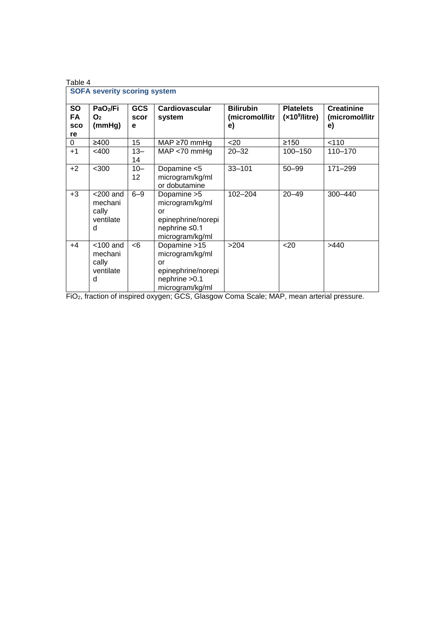| Table 4                                    |                                                   |                           |                                                                                                  |                                          |                                               |                                           |  |  |
|--------------------------------------------|---------------------------------------------------|---------------------------|--------------------------------------------------------------------------------------------------|------------------------------------------|-----------------------------------------------|-------------------------------------------|--|--|
|                                            | <b>SOFA severity scoring system</b>               |                           |                                                                                                  |                                          |                                               |                                           |  |  |
| <b>SO</b><br><b>FA</b><br><b>SCO</b><br>re | PaO <sub>2</sub> /Fi<br>O <sub>2</sub><br>(mmHg)  | <b>GCS</b><br>scor<br>е   | <b>Cardiovascular</b><br>system                                                                  | <b>Bilirubin</b><br>(micromol/litr<br>e) | <b>Platelets</b><br>(x10 <sup>9</sup> /litre) | <b>Creatinine</b><br>(micromol/litr<br>e) |  |  |
| 0                                          | $\geq 400$                                        | 15                        | MAP $\geq 70$ mmHg                                                                               | < 20                                     | $\geq 150$                                    | 110                                       |  |  |
| $+1$                                       | $<$ 400                                           | $13 -$<br>14              | MAP <70 mmHg                                                                                     | $20 - 32$                                | 100-150                                       | 110-170                                   |  |  |
| $+2$                                       | $300$                                             | $10 -$<br>12 <sub>2</sub> | Dopamine <5<br>microgram/kg/ml<br>or dobutamine                                                  | $33 - 101$                               | $50 - 99$                                     | 171-299                                   |  |  |
| $+3$                                       | $<$ 200 and<br>mechani<br>cally<br>ventilate<br>d | $6 - 9$                   | Dopamine > 5<br>microgram/kg/ml<br>or<br>epinephrine/norepi<br>nephrine ≤0.1<br>microgram/kg/ml  | $102 - 204$                              | $20 - 49$                                     | 300-440                                   |  |  |
| $+4$                                       | $<$ 100 and<br>mechani<br>cally<br>ventilate<br>d | <6                        | Dopamine >15<br>microgram/kg/ml<br>or<br>epinephrine/norepi<br>nephrine > 0.1<br>microgram/kg/ml | >204                                     | $20$                                          | >440                                      |  |  |

FiO2, fraction of inspired oxygen; GCS, Glasgow Coma Scale; MAP, mean arterial pressure.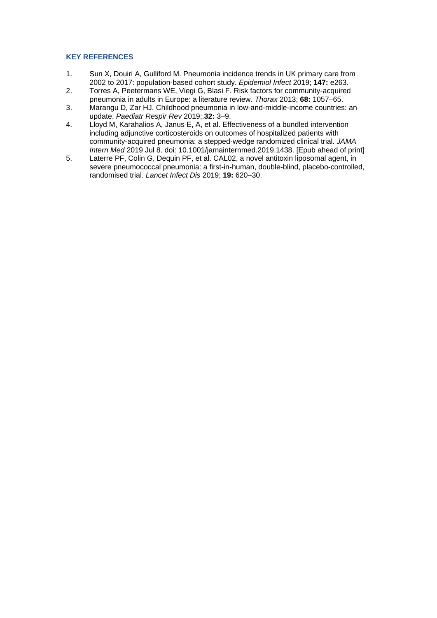## **KEY REFERENCES**

- 1. Sun X, Douiri A, Gulliford M. Pneumonia incidence trends in UK primary care from 2002 to 2017: population-based cohort study. *Epidemiol Infect* 2019; **147:** e263.
- 2. Torres A, Peetermans WE, Viegi G, Blasi F. Risk factors for community-acquired pneumonia in adults in Europe: a literature review. *Thorax* 2013; **68:** 1057–65.
- 3. Marangu D, Zar HJ. Childhood pneumonia in low-and-middle-income countries: an update. *Paediatr Respir Rev* 2019;.**32:** 3–9.
- 4. Lloyd M, Karahalios A, Janus E, A, et al. Effectiveness of a bundled intervention including adjunctive corticosteroids on outcomes of hospitalized patients with community-acquired pneumonia: a stepped-wedge randomized clinical trial. *JAMA Intern Med* 2019 Jul 8. doi: 10.1001/jamainternmed.2019.1438. [Epub ahead of print]
- 5. Laterre PF, Colin G, Dequin PF, et al. CAL02, a novel antitoxin liposomal agent, in severe pneumococcal pneumonia: a first-in-human, double-blind, placebo-controlled, randomised trial. *Lancet Infect Dis* 2019; **19:** 620–30.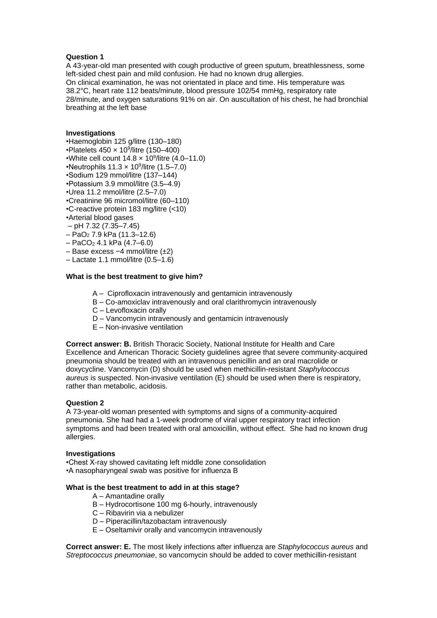## **Question 1**

A 43-year-old man presented with cough productive of green sputum, breathlessness, some left-sided chest pain and mild confusion. He had no known drug allergies. On clinical examination, he was not orientated in place and time. His temperature was 38.2°C, heart rate 112 beats/minute, blood pressure 102/54 mmHg, respiratory rate 28/minute, and oxygen saturations 91% on air. On auscultation of his chest, he had bronchial breathing at the left base

## **Investigations**

- •Haemoglobin 125 g/litre (130–180)
- •Platelets  $450 \times 10^9$ /litre (150-400)
- •White cell count  $14.8 \times 10^9$ /litre (4.0-11.0)
- •Neutrophils  $11.3 \times 10^9$ /litre (1.5–7.0)
- •Sodium 129 mmol/litre (137–144)
- •Potassium 3.9 mmol/litre (3.5–4.9)
- •Urea 11.2 mmol/litre (2.5–7.0)
- •Creatinine 96 micromol/litre (60–110)
- •C-reactive protein 183 mg/litre (<10)
- •Arterial blood gases
- pH 7.32 (7.35–7.45)
- PaO<sup>2</sup> 7.9 kPa (11.3–12.6)
- $-$  PaCO<sub>2</sub> 4.1 kPa (4.7–6.0)
- Base excess −4 mmol/litre (±2)
- Lactate 1.1 mmol/litre (0.5–1.6)

## **What is the best treatment to give him?**

- A Ciprofloxacin intravenously and gentamicin intravenously
- B Co-amoxiclav intravenously and oral clarithromycin intravenously
- C Levofloxacin orally
- D Vancomycin intravenously and gentamicin intravenously
- E Non-invasive ventilation

**Correct answer: B.** British Thoracic Society, National Institute for Health and Care Excellence and American Thoracic Society guidelines agree that severe community-acquired pneumonia should be treated with an intravenous penicillin and an oral macrolide or doxycycline. Vancomycin (D) should be used when methicillin-resistant *Staphylococcus aureus* is suspected. Non-invasive ventilation (E) should be used when there is respiratory, rather than metabolic, acidosis.

## **Question 2**

A 73-year-old woman presented with symptoms and signs of a community-acquired pneumonia. She had had a 1-week prodrome of viral upper respiratory tract infection symptoms and had been treated with oral amoxicillin, without effect. She had no known drug allergies.

## **Investigations**

•Chest X-ray showed cavitating left middle zone consolidation •A nasopharyngeal swab was positive for influenza B

## **What is the best treatment to add in at this stage?**

- A Amantadine orally
- B Hydrocortisone 100 mg 6-hourly, intravenously
- C Ribavirin via a nebulizer
- D Piperacillin/tazobactam intravenously
- E Oseltamivir orally and vancomycin intravenously

**Correct answer: E.** The most likely infections after influenza are *Staphylococcus aureus* and *Streptococcus pneumoniae*, so vancomycin should be added to cover methicillin-resistant